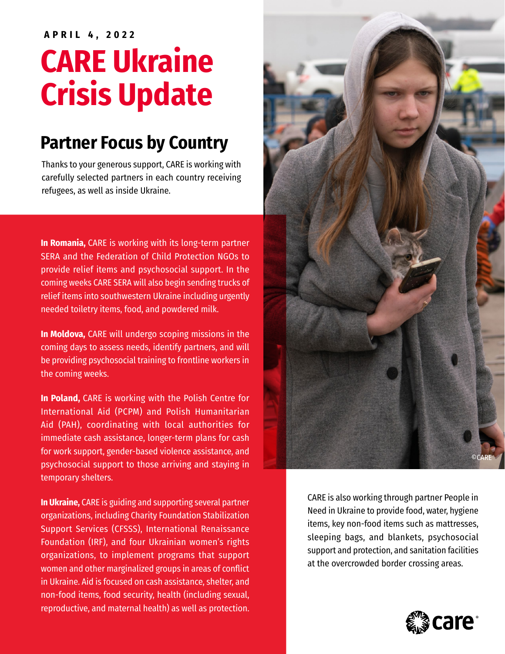### **APRIL 4, 2022**

# **CARE Ukraine Crisis Update**

# **Partner Focus by Country**

Thanks to your generous support, CARE is working with carefully selected partners in each country receiving refugees, as well as inside Ukraine.

**In Romania,** CARE is working with its long-term partner SERA and the Federation of Child Protection NGOs to provide relief items and psychosocial support. In the coming weeks CARE SERA will also begin sending trucks of relief items into southwestern Ukraine including urgently needed toiletry items, food, and powdered milk.

**In Moldova,** CARE will undergo scoping missions in the coming days to assess needs, identify partners, and will be providing psychosocial training to frontline workers in the coming weeks.

**In Poland,** CARE is working with the Polish Centre for International Aid (PCPM) and Polish Humanitarian Aid (PAH), coordinating with local authorities for immediate cash assistance, longer-term plans for cash for work support, gender-based violence assistance, and psychosocial support to those arriving and staying in temporary shelters.

**In Ukraine,** CARE is guiding and supporting several partner organizations, including Charity Foundation Stabilization Support Services (CFSSS), International Renaissance Foundation (IRF), and four Ukrainian women's rights organizations, to implement programs that support women and other marginalized groups in areas of conflict in Ukraine. Aid is focused on cash assistance, shelter, and non-food items, food security, health (including sexual, reproductive, and maternal health) as well as protection.



CARE is also working through partner People in Need in Ukraine to provide food, water, hygiene items, key non-food items such as mattresses, sleeping bags, and blankets, psychosocial support and protection, and sanitation facilities at the overcrowded border crossing areas.

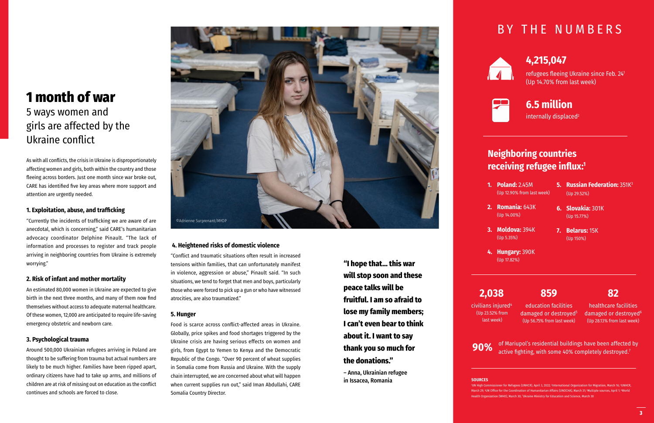

# **1 month of war**

# 5 ways women and girls are affected by the Ukraine conflict

As with all conflicts, the crisis in Ukraine is disproportionately affecting women and girls, both within the country and those fleeing across borders. Just one month since war broke out, CARE has identified five key areas where more support and attention are urgently needed.

#### **1. Exploitation, abuse, and trafficking**

"Currently the incidents of trafficking we are aware of are anecdotal, which is concerning," said CARE's humanitarian advocacy coordinator Delphine Pinault. "The lack of information and processes to register and track people arriving in neighboring countries from Ukraine is extremely worrying."

#### **2. Risk of infant and mother mortality**

An estimated 80,000 women in Ukraine are expected to give birth in the next three months, and many of them now find themselves without access to adequate maternal healthcare. Of these women, 12,000 are anticipated to require life-saving emergency obstetric and newborn care.

#### **3. Psychological trauma**

Around 500,000 Ukrainian refugees arriving in Poland are thought to be suffering from trauma but actual numbers are likely to be much higher. Families have been ripped apart, ordinary citizens have had to take up arms, and millions of children are at risk of missing out on education as the conflict continues and schools are forced to close.

#### **4. Heightened risks of domestic violence**

of Mariupol's residential buildings have been affected by **90%** of Mariupot's residential buildings have been affected.<sup>7</sup><br>active fighting, with some 40% completely destroyed.<sup>7</sup>

"Conflict and traumatic situations often result in increased tensions within families, that can unfortunately manifest in violence, aggression or abuse," Pinault said. "In such situations, we tend to forget that men and boys, particularly those who were forced to pick up a gun or who have witnessed atrocities, are also traumatized."

> 'UN High Commissioner for Refugees (UNHCR), April 3, 2022; <sup>2</sup>International Organization for Migration, March 16; <sup>3</sup>UNHCR, March 29; 'UN Office for the Coordination of Humanitarian Affairs (UNOCHA), March 31; 'Multiple sources, April 1; 'World Health Organization (WHO), March 30; 7 Ukraine Ministry for Education and Science, March 30

#### **5. Hunger**

Food is scarce across conflict-affected areas in Ukraine. Globally, price spikes and food shortages triggered by the Ukraine crisis are having serious effects on women and girls, from Egypt to Yemen to Kenya and the Democratic Republic of the Congo. "Over 90 percent of wheat supplies in Somalia come from Russia and Ukraine. With the supply chain interrupted, we are concerned about what will happen when current supplies run out," said Iman Abdullahi, CARE Somalia Country Director.

# BY THE NUMBERS



**"I hope that… this war will stop soon and these peace talks will be fruitful. I am so afraid to lose my family members; I can't even bear to think about it. I want to say thank you so much for the donations."** 

– Anna, Ukrainian refugee in Issacea, Romania

## **Neighboring countries receiving refugee influx:<sup>1</sup>**

- **1. Poland:** 2.45M (Up 12.90% from last week)
- **2. Romania:** 643K (Up 14.00%)
- **3. Moldova:** 394K (Up 5.35%)
- **4. Hungary:** 390K (Up 17.82%)
- **5. Russian Federation:** 351K3 (Up 29.52%)
- **6. Slovakia:** 301K (Up 15.77%)
- **7. Belarus:** 15K (Up 150%)

refugees fleeing Ukraine since Feb. 24<sup>1</sup> (Up 14.70% from last week)



# **4,215,047**

# **6.5 million**

internally displaced<sup>2</sup>

civilians injured4 (Up 23.52% from last week)

# **2,038**

education facilities damaged or destroyed<sup>5</sup> (Up 56.75% from last week)

## **859**

**SOURCES**

healthcare facilities damaged or destroyed<sup>6</sup> (Up 28.13% from last week)

## **82**